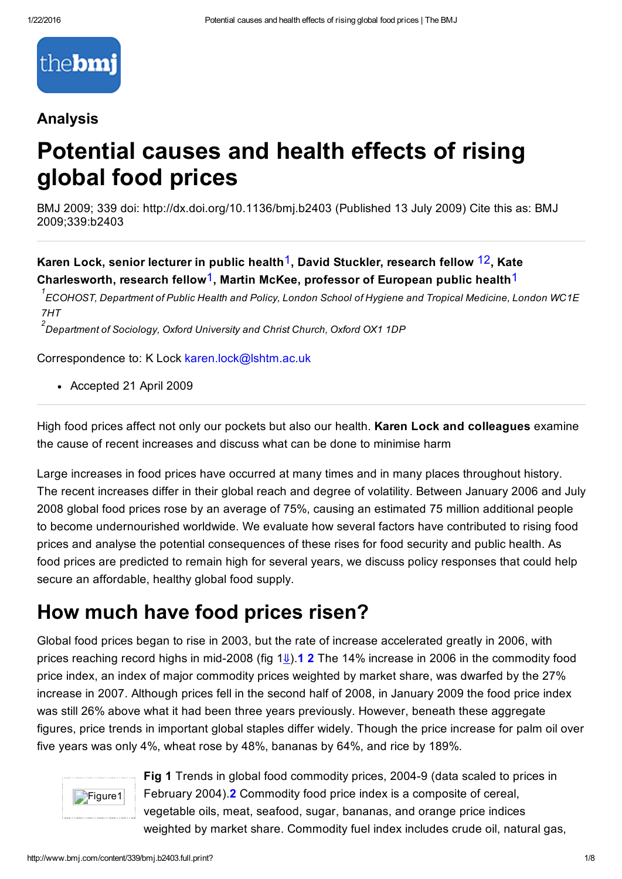

### Analysis

# Potential causes and health effects of rising global food prices

BMJ 2009; 339 doi: http://dx.doi.org/10.1136/bmj.b2403 (Published 13 July 2009) Cite this as: BMJ 2009;339:b2403

Karen Lock, senior lecturer in public health<sup>1</sup>, David Stuckler, research fellow <sup>12</sup>, Kate Charlesworth, research fellow<sup>1</sup>, Martin McKee, professor of European public health<sup>1</sup>

 $^{\rm 1}$ ECOHOST, Department of Public Health and Policy, London School of Hygiene and Tropical Medicine, London WC1E *7HT*

*Department of Sociology, Oxford University and Christ Church, Oxford OX1 1DP 2*

Correspondence to: K Lock [karen.lock@lshtm.ac.uk](mailto:karen.lock@lshtm.ac.uk)

Accepted 21 April 2009

High food prices affect not only our pockets but also our health. Karen Lock and colleagues examine the cause of recent increases and discuss what can be done to minimise harm

Large increases in food prices have occurred at many times and in many places throughout history. The recent increases differ in their global reach and degree of volatility. Between January 2006 and July 2008 global food prices rose by an average of 75%, causing an estimated 75 million additional people to become undernourished worldwide. We evaluate how several factors have contributed to rising food prices and analyse the potential consequences of these rises for food security and public health. As food prices are predicted to remain high for several years, we discuss policy responses that could help secure an affordable, healthy global food supply.

### How much have food prices risen?

Global food prices began to rise in 2003, but the rate of increase accelerated greatly in 2006, with prices reaching record highs in mid-2008 (fig  $1\psi$ ). **1 2** The 14% increase in 2006 in the commodity food price index, an index of major commodity prices weighted by market share, was dwarfed by the 27% increase in 2007. Although prices fell in the second half of 2008, in January 2009 the food price index was still 26% above what it had been three years previously. However, beneath these aggregate figures, price trends in important global staples differ widely. Though the price increase for palm oil over five years was only 4%, wheat rose by 48%, bananas by 64%, and rice by 189%.



Fig 1 Trends in global food commodity prices, 20049 (data scaled to prices in February 2004).2 Commodity food price index is a composite of cereal, vegetable oils, meat, seafood, sugar, bananas, and orange price indices weighted by market share. Commodity fuel index includes crude oil, natural gas,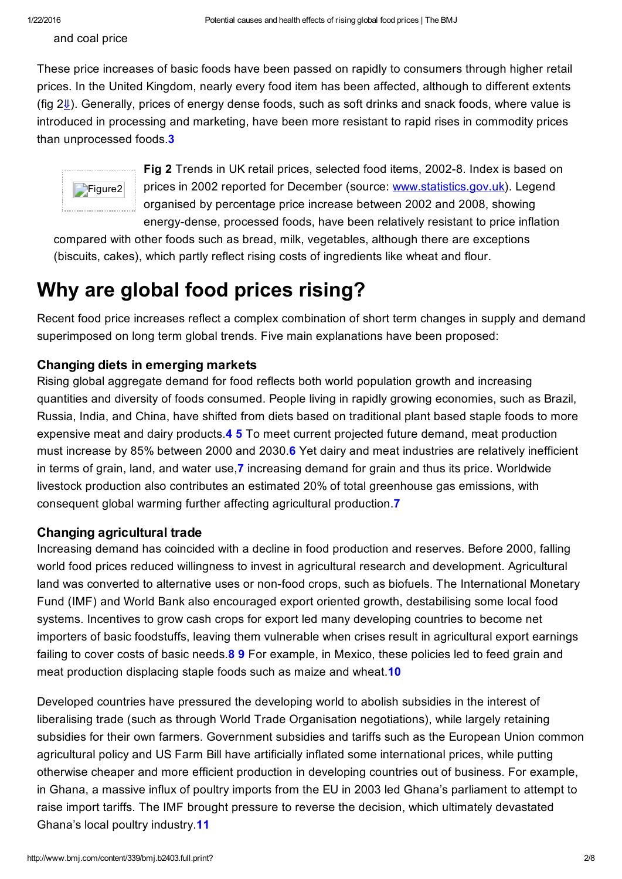and coal price

These price increases of basic foods have been passed on rapidly to consumers through higher retail prices. In the United Kingdom, nearly every food item has been affected, although to different extents (fig  $2\sqrt{1}$ ). Generally, prices of energy dense foods, such as soft drinks and snack foods, where value is introduced in processing and marketing, have been more resistant to rapid rises in commodity prices than unprocessed foods 3



Fig 2 Trends in UK retail prices, selected food items, 2002-8. Index is based on prices in 2002 reported for December (source: [www.statistics.gov.uk\)](http://www.statistics.gov.uk/). Legend organised by percentage price increase between 2002 and 2008, showing energy-dense, processed foods, have been relatively resistant to price inflation

compared with other foods such as bread, milk, vegetables, although there are exceptions (biscuits, cakes), which partly reflect rising costs of ingredients like wheat and flour.

### Why are global food prices rising?

Recent food price increases reflect a complex combination of short term changes in supply and demand superimposed on long term global trends. Five main explanations have been proposed:

#### Changing diets in emerging markets

Rising global aggregate demand for food reflects both world population growth and increasing quantities and diversity of foods consumed. People living in rapidly growing economies, such as Brazil, Russia, India, and China, have shifted from diets based on traditional plant based staple foods to more expensive meat and dairy products.4 5 To meet current projected future demand, meat production must increase by 85% between 2000 and 2030.6 Yet dairy and meat industries are relatively inefficient in terms of grain, land, and water use,7 increasing demand for grain and thus its price. Worldwide livestock production also contributes an estimated 20% of total greenhouse gas emissions, with consequent global warming further affecting agricultural production.7

#### Changing agricultural trade

Increasing demand has coincided with a decline in food production and reserves. Before 2000, falling world food prices reduced willingness to invest in agricultural research and development. Agricultural land was converted to alternative uses or non-food crops, such as biofuels. The International Monetary Fund (IMF) and World Bank also encouraged export oriented growth, destabilising some local food systems. Incentives to grow cash crops for export led many developing countries to become net importers of basic foodstuffs, leaving them vulnerable when crises result in agricultural export earnings failing to cover costs of basic needs.8 9 For example, in Mexico, these policies led to feed grain and meat production displacing staple foods such as maize and wheat.<sup>10</sup>

<span id="page-1-0"></span>Developed countries have pressured the developing world to abolish subsidies in the interest of liberalising trade (such as through World Trade Organisation negotiations), while largely retaining subsidies for their own farmers. Government subsidies and tariffs such as the European Union common agricultural policy and US Farm Bill have artificially inflated some international prices, while putting otherwise cheaper and more efficient production in developing countries out of business. For example, in Ghana, a massive influx of poultry imports from the EU in 2003 led Ghana's parliament to attempt to raise import tariffs. The IMF brought pressure to reverse the decision, which ultimately devastated Ghana's local poultry industry.11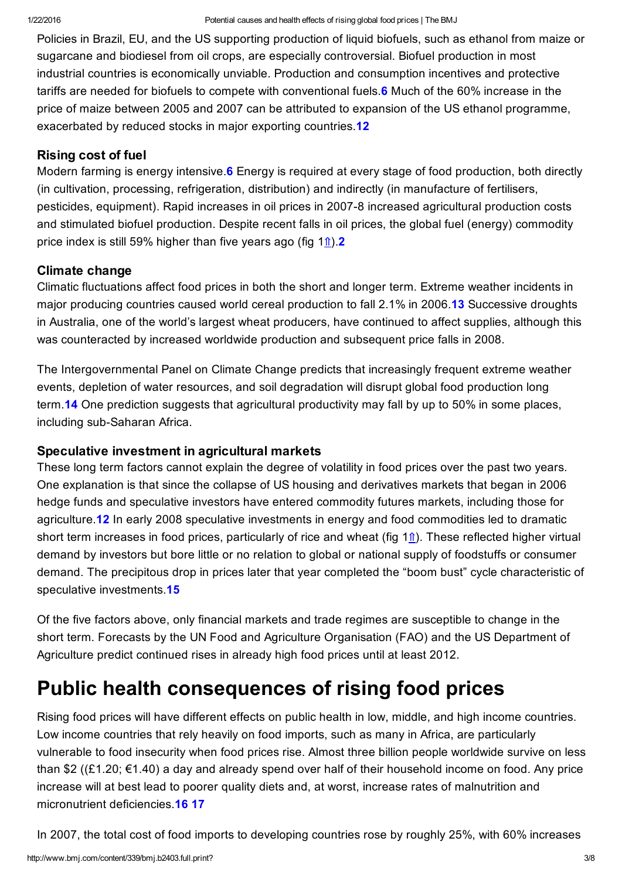Policies in Brazil, EU, and the US supporting production of liquid biofuels, such as ethanol from maize or sugarcane and biodiesel from oil crops, are especially controversial. Biofuel production in most industrial countries is economically unviable. Production and consumption incentives and protective tariffs are needed for biofuels to compete with conventional fuels.6 Much of the 60% increase in the price of maize between 2005 and 2007 can be attributed to expansion of the US ethanol programme, exacerbated by reduced stocks in major exporting countries.12

#### Rising cost of fuel

Modern farming is energy intensive. **6** Energy is required at every stage of food production, both directly (in cultivation, processing, refrigeration, distribution) and indirectly (in manufacture of fertilisers, pesticides, equipment). Rapid increases in oil prices in 20078 increased agricultural production costs and stimulated biofuel production. Despite recent falls in oil prices, the global fuel (energy) commodity price index is still 59% higher than five years ago (fig  $1<sup>î</sup>$ ).

#### Climate change

Climatic fluctuations affect food prices in both the short and longer term. Extreme weather incidents in major producing countries caused world cereal production to fall 2.1% in 2006.13 Successive droughts in Australia, one of the world's largest wheat producers, have continued to affect supplies, although this was counteracted by increased worldwide production and subsequent price falls in 2008.

The Intergovernmental Panel on Climate Change predicts that increasingly frequent extreme weather events, depletion of water resources, and soil degradation will disrupt global food production long term. **14** One prediction suggests that agricultural productivity may fall by up to 50% in some places, including sub-Saharan Africa.

#### Speculative investment in agricultural markets

These long term factors cannot explain the degree of volatility in food prices over the past two years. One explanation is that since the collapse of US housing and derivatives markets that began in 2006 hedge funds and speculative investors have entered commodity futures markets, including those for agriculture.12 In early 2008 speculative investments in energy and food commodities led to dramatic short term increases in food prices, particularly of rice and wheat (fig  $1<sub>î</sub>$ ). These reflected higher virtual demand by investors but bore little or no relation to global or national supply of foodstuffs or consumer demand. The precipitous drop in prices later that year completed the "boom bust" cycle characteristic of speculative investments.15

Of the five factors above, only financial markets and trade regimes are susceptible to change in the short term. Forecasts by the UN Food and Agriculture Organisation (FAO) and the US Department of Agriculture predict continued rises in already high food prices until at least 2012.

### Public health consequences of rising food prices

Rising food prices will have different effects on public health in low, middle, and high income countries. Low income countries that rely heavily on food imports, such as many in Africa, are particularly vulnerable to food insecurity when food prices rise. Almost three billion people worldwide survive on less than \$2 ((£1.20; €1.40) a day and already spend over half of their household income on food. Any price increase will at best lead to poorer quality diets and, at worst, increase rates of malnutrition and micronutrient deficiencies. 16 17

In 2007, the total cost of food imports to developing countries rose by roughly 25%, with 60% increases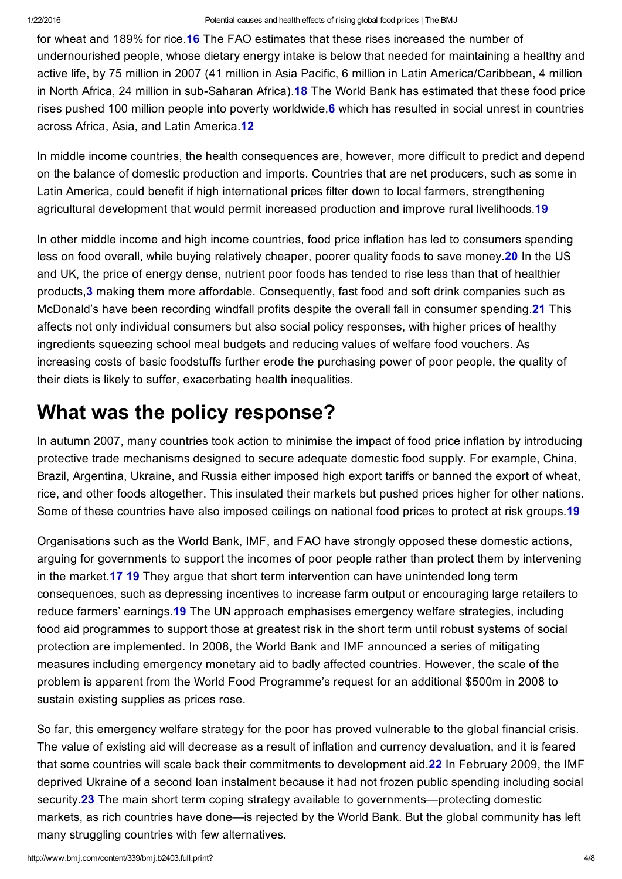for wheat and 189% for rice.16 The FAO estimates that these rises increased the number of undernourished people, whose dietary energy intake is below that needed for maintaining a healthy and active life, by 75 million in 2007 (41 million in Asia Pacific, 6 million in Latin America/Caribbean, 4 million in North Africa, 24 million in sub-Saharan Africa). **18** The World Bank has estimated that these food price rises pushed 100 million people into poverty worldwide, 6 which has resulted in social unrest in countries across Africa, Asia, and Latin America.12

In middle income countries, the health consequences are, however, more difficult to predict and depend on the balance of domestic production and imports. Countries that are net producers, such as some in Latin America, could benefit if high international prices filter down to local farmers, strengthening agricultural development that would permit increased production and improve rural livelihoods.19

In other middle income and high income countries, food price inflation has led to consumers spending less on food overall, while buying relatively cheaper, poorer quality foods to save money.<sup>20</sup> In the US and UK, the price of energy dense, nutrient poor foods has tended to rise less than that of healthier products,3 making them more affordable. Consequently, fast food and soft drink companies such as McDonald's have been recording windfall profits despite the overall fall in consumer spending.<sup>21</sup> This affects not only individual consumers but also social policy responses, with higher prices of healthy ingredients squeezing school meal budgets and reducing values of welfare food vouchers. As increasing costs of basic foodstuffs further erode the purchasing power of poor people, the quality of their diets is likely to suffer, exacerbating health inequalities.

### What was the policy response?

In autumn 2007, many countries took action to minimise the impact of food price inflation by introducing protective trade mechanisms designed to secure adequate domestic food supply. For example, China, Brazil, Argentina, Ukraine, and Russia either imposed high export tariffs or banned the export of wheat, rice, and other foods altogether. This insulated their markets but pushed prices higher for other nations. Some of these countries have also imposed ceilings on national food prices to protect at risk groups. 19

Organisations such as the World Bank, IMF, and FAO have strongly opposed these domestic actions, arguing for governments to support the incomes of poor people rather than protect them by intervening in the market.17 19 They argue that short term intervention can have unintended long term consequences, such as depressing incentives to increase farm output or encouraging large retailers to reduce farmers' earnings. **19** The UN approach emphasises emergency welfare strategies, including food aid programmes to support those at greatest risk in the short term until robust systems of social protection are implemented. In 2008, the World Bank and IMF announced a series of mitigating measures including emergency monetary aid to badly affected countries. However, the scale of the problem is apparent from the World Food Programme's request for an additional \$500m in 2008 to sustain existing supplies as prices rose.

So far, this emergency welfare strategy for the poor has proved vulnerable to the global financial crisis. The value of existing aid will decrease as a result of inflation and currency devaluation, and it is feared that some countries will scale back their commitments to development aid.22 In February 2009, the IMF deprived Ukraine of a second loan instalment because it had not frozen public spending including social security.23 The main short term coping strategy available to governments—protecting domestic markets, as rich countries have done—is rejected by the World Bank. But the global community has left many struggling countries with few alternatives.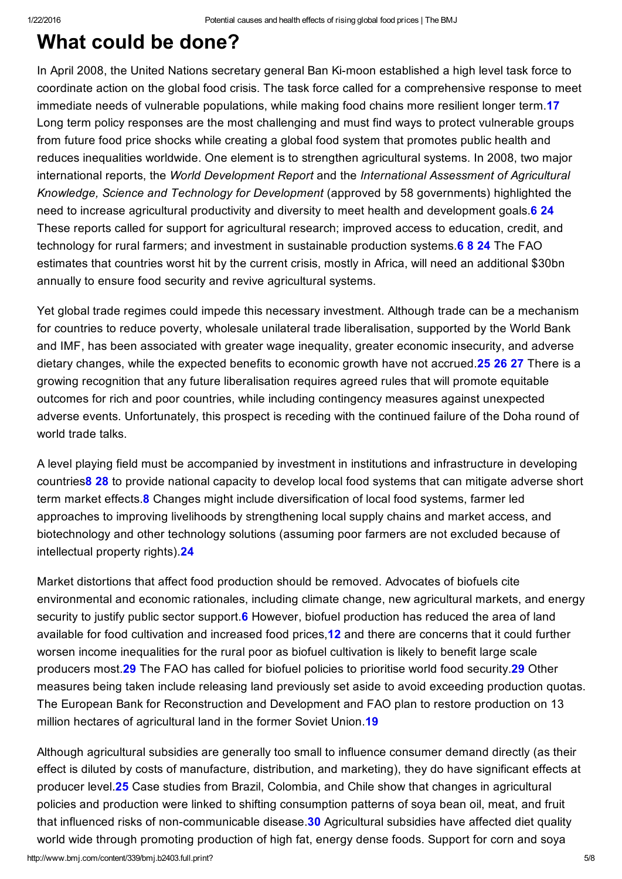### What could be done?

In April 2008, the United Nations secretary general Ban Ki-moon established a high level task force to coordinate action on the global food crisis. The task force called for a comprehensive response to meet immediate needs of vulnerable populations, while making food chains more resilient longer term.17 Long term policy responses are the most challenging and must find ways to protect vulnerable groups from future food price shocks while creating a global food system that promotes public health and reduces inequalities worldwide. One element is to strengthen agricultural systems. In 2008, two major international reports, the *World Development Report* and the *International Assessment of Agricultural Knowledge, Science and Technology for Development* (approved by 58 governments) highlighted the need to increase agricultural productivity and diversity to meet health and development goals. 6 24 These reports called for support for agricultural research; improved access to education, credit, and technology for rural farmers; and investment in sustainable production systems. **6 8 24** The FAO estimates that countries worst hit by the current crisis, mostly in Africa, will need an additional \$30bn annually to ensure food security and revive agricultural systems.

Yet global trade regimes could impede this necessary investment. Although trade can be a mechanism for countries to reduce poverty, wholesale unilateral trade liberalisation, supported by the World Bank and IMF, has been associated with greater wage inequality, greater economic insecurity, and adverse dietary changes, while the expected benefits to economic growth have not accrued.25 26 27 There is a growing recognition that any future liberalisation requires agreed rules that will promote equitable outcomes for rich and poor countries, while including contingency measures against unexpected adverse events. Unfortunately, this prospect is receding with the continued failure of the Doha round of world trade talks.

A level playing field must be accompanied by investment in institutions and infrastructure in developing countries8 28 to provide national capacity to develop local food systems that can mitigate adverse short term market effects.8 Changes might include diversification of local food systems, farmer led approaches to improving livelihoods by strengthening local supply chains and market access, and biotechnology and other technology solutions (assuming poor farmers are not excluded because of intellectual property rights).24

Market distortions that affect food production should be removed. Advocates of biofuels cite environmental and economic rationales, including climate change, new agricultural markets, and energy security to justify public sector support. **6** However, biofuel production has reduced the area of land available for food cultivation and increased food prices,12 and there are concerns that it could further worsen income inequalities for the rural poor as biofuel cultivation is likely to benefit large scale producers most.29 The FAO has called for biofuel policies to prioritise world food security.29 Other measures being taken include releasing land previously set aside to avoid exceeding production quotas. The European Bank for Reconstruction and Development and FAO plan to restore production on 13 million hectares of agricultural land in the former Soviet Union.<sup>19</sup>

Although agricultural subsidies are generally too small to influence consumer demand directly (as their effect is diluted by costs of manufacture, distribution, and marketing), they do have significant effects at producer level.25 Case studies from Brazil, Colombia, and Chile show that changes in agricultural policies and production were linked to shifting consumption patterns of soya bean oil, meat, and fruit that influenced risks of non-communicable disease.<sup>30</sup> Agricultural subsidies have affected diet quality world wide through promoting production of high fat, energy dense foods. Support for corn and soya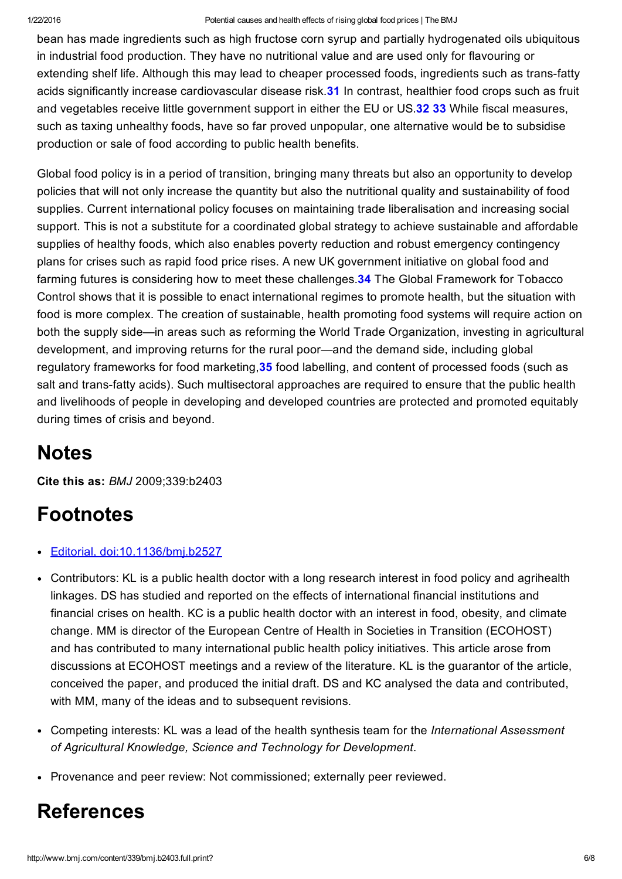#### 1/22/2016 Potential causes and health effects of rising global food prices | The BMJ

bean has made ingredients such as high fructose corn syrup and partially hydrogenated oils ubiquitous in industrial food production. They have no nutritional value and are used only for flavouring or extending shelf life. Although this may lead to cheaper processed foods, ingredients such as trans-fatty acids significantly increase cardiovascular disease risk.<sup>31</sup> In contrast, healthier food crops such as fruit and vegetables receive little government support in either the EU or US.32 33 While fiscal measures, such as taxing unhealthy foods, have so far proved unpopular, one alternative would be to subsidise production or sale of food according to public health benefits.

Global food policy is in a period of transition, bringing many threats but also an opportunity to develop policies that will not only increase the quantity but also the nutritional quality and sustainability of food supplies. Current international policy focuses on maintaining trade liberalisation and increasing social support. This is not a substitute for a coordinated global strategy to achieve sustainable and affordable supplies of healthy foods, which also enables poverty reduction and robust emergency contingency plans for crises such as rapid food price rises. A new UK government initiative on global food and farming futures is considering how to meet these challenges.<sup>34</sup> The Global Framework for Tobacco Control shows that it is possible to enact international regimes to promote health, but the situation with food is more complex. The creation of sustainable, health promoting food systems will require action on both the supply side—in areas such as reforming the World Trade Organization, investing in agricultural development, and improving returns for the rural poor—and the demand side, including global regulatory frameworks for food marketing, 35 food labelling, and content of processed foods (such as salt and trans-fatty acids). Such multisectoral approaches are required to ensure that the public health and livelihoods of people in developing and developed countries are protected and promoted equitably during times of crisis and beyond.

## **Notes**

Cite this as: *BMJ* 2009;339:b2403

## Footnotes

- Editorial, [doi:10.1136/bmj.b2527](http://www.bmj.com/lookup/doi/10.1136/bmj.b2527)  $\bullet$
- Contributors: KL is a public health doctor with a long research interest in food policy and agrihealth linkages. DS has studied and reported on the effects of international financial institutions and financial crises on health. KC is a public health doctor with an interest in food, obesity, and climate change. MM is director of the European Centre of Health in Societies in Transition (ECOHOST) and has contributed to many international public health policy initiatives. This article arose from discussions at ECOHOST meetings and a review of the literature. KL is the guarantor of the article, conceived the paper, and produced the initial draft. DS and KC analysed the data and contributed, with MM, many of the ideas and to subsequent revisions.
- Competing interests: KL was a lead of the health synthesis team for the *International Assessment of Agricultural Knowledge, Science and Technology for Development*.
- Provenance and peer review: Not commissioned; externally peer reviewed.

### References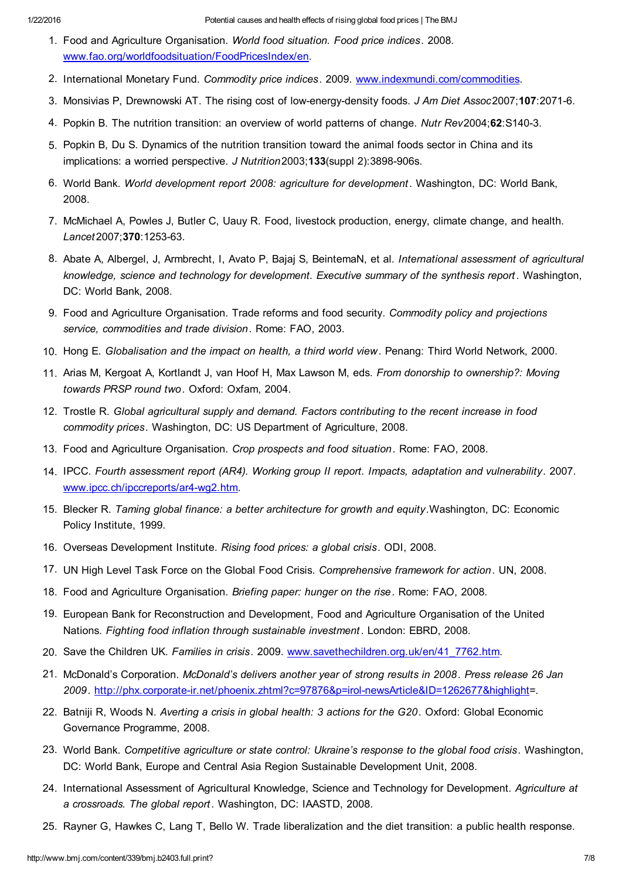- 1. Food and Agriculture Organisation. *World food situation. Food price indices*. 2008. [www.fao.org/worldfoodsituation/FoodPricesIndex/en](http://www.fao.org/worldfoodsituation/FoodPricesIndex/en).
- 2. International Monetary Fund. *Commodity price indices*. 2009. [www.indexmundi.com/commodities](http://www.indexmundi.com/commodities).
- 3. Monsivias P, Drewnowski AT. The rising cost of lowenergydensity foods. *J Am Diet Assoc*2007;107:20716.
- 4. Popkin B. The nutrition transition: an overview of world patterns of change. *Nutr Rev*2004;62:S1403.
- 5. Popkin B, Du S. Dynamics of the nutrition transition toward the animal foods sector in China and its implications: a worried perspective. *J Nutrition* 2003; 133(suppl 2): 3898-906s.
- 6. World Bank. *World development report 2008: agriculture for development* . Washington, DC: World Bank, 2008.
- 7. McMichael A, Powles J, Butler C, Uauy R. Food, livestock production, energy, climate change, and health. Lancet2007;370:1253-63.
- 8. Abate A, Albergel, J, Armbrecht, I, Avato P, Bajaj S, BeintemaN, et al. *International assessment of agricultural knowledge, science and technology for development. Executive summary of the synthesis report* . Washington, DC: World Bank, 2008.
- 9. Food and Agriculture Organisation. Trade reforms and food security. *Commodity policy and projections service, commodities and trade division*. Rome: FAO, 2003.
- 10. Hong E. *Globalisation and the impact on health, a third world view*. Penang: Third World Network, 2000.
- 11. Arias M, Kergoat A, Kortlandt J, van Hoof H, Max Lawson M, eds. *From donorship to ownership?: Moving towards PRSP round two*. Oxford: Oxfam, 2004.
- 12. Trostle R. *Global agricultural supply and demand. Factors contributing to the recent increase in food commodity prices*. Washington, DC: US Department of Agriculture, 2008.
- 13. Food and Agriculture Organisation. *Crop prospects and food situation*. Rome: FAO, 2008.
- 14. IPCC. *Fourth assessment report (AR4). Working group II report. Impacts, adaptation and vulnerability*. 2007. www.ipcc.ch/ipccreports/ar4-wg2.htm.
- 15. Blecker R. *Taming global finance: a better architecture for growth and equity*.Washington, DC: Economic Policy Institute, 1999.
- 16. Overseas Development Institute. *Rising food prices: a global crisis*. ODI, 2008.
- 17. UN High Level Task Force on the Global Food Crisis. *Comprehensive framework for action*. UN, 2008.
- 18. Food and Agriculture Organisation. *Briefing paper: hunger on the rise*. Rome: FAO, 2008.
- 19. European Bank for Reconstruction and Development, Food and Agriculture Organisation of the United Nations. *Fighting food inflation through sustainable investment* . London: EBRD, 2008.
- 20. Save the Children UK. *Families in crisis*. 2009. [www.savethechildren.org.uk/en/41\\_7762.htm.](http://www.savethechildren.org.uk/en/41_7762.htm)
- 21. McDonald's Corporation. *McDonald's delivers another year of strong results in 2008*. *Press release 26 Jan* 2009. http://phx.corporate-ir.net/phoenix.zhtml?c=97876&p=irol-newsArticle&ID=1262677&highlight=.
- 22. Batniji R, Woods N. *Averting a crisis in global health: 3 actions for the G20*. Oxford: Global Economic Governance Programme, 2008.
- 23. World Bank. *Competitive agriculture or state control: Ukraine's response to the global food crisis*. Washington, DC: World Bank, Europe and Central Asia Region Sustainable Development Unit, 2008.
- 24. International Assessment of Agricultural Knowledge, Science and Technology for Development. *Agriculture at a crossroads. The global report* . Washington, DC: IAASTD, 2008.
- 25. Rayner G, Hawkes C, Lang T, Bello W. Trade liberalization and the diet transition: a public health response.